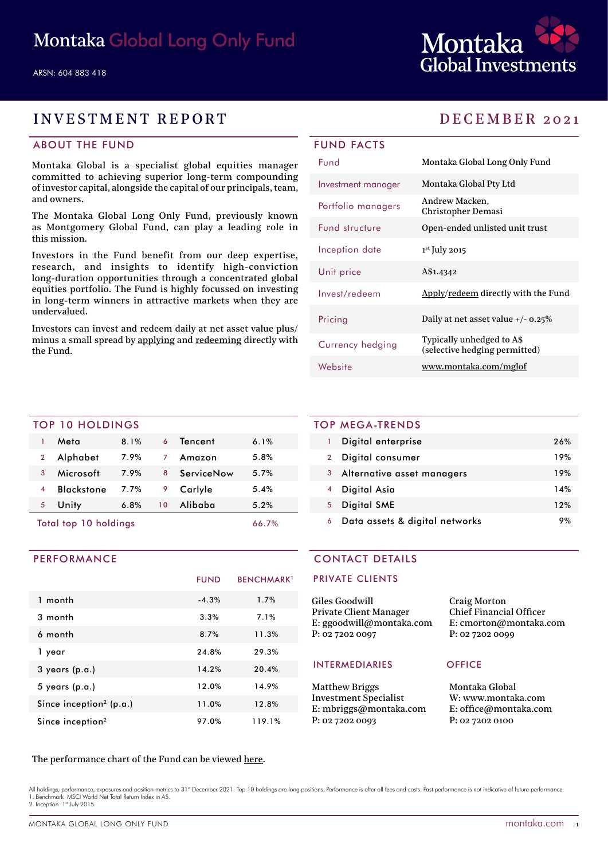

## INVESTMENT REPORT DECEMBER 2021

### ABOUT THE FUND

Montaka Global is a specialist global equities manager committed to achieving superior long-term compounding of investor capital, alongside the capital of our principals, team, and owners.

The Montaka Global Long Only Fund, previously known as Montgomery Global Fund, can play a leading role in this mission.

Investors in the Fund benefit from our deep expertise, research, and insights to identify high-conviction long-duration opportunities through a concentrated global equities portfolio. The Fund is highly focussed on investing in long-term winners in attractive markets when they are undervalued.

Investors can invest and redeem daily at net asset value plus/ minus a small spread by [applying](https://fundhost.olivia123.com/fundhost/montaka-global-long-only-fund.php) and [redeeming](https://fundhost.com.au/investor-login/) directly with the Fund.

## FUND FACTS

| Fund                  | Montaka Global Long Only Fund                              |
|-----------------------|------------------------------------------------------------|
| Investment manager    | Montaka Global Pty Ltd                                     |
| Portfolio managers    | Andrew Macken,<br>Christopher Demasi                       |
| <b>Fund structure</b> | Open-ended unlisted unit trust                             |
| Inception date        | $1st$ July 2015                                            |
| Unit price            | A\$1.4342                                                  |
| Invest/redeem         | Apply/redeem directly with the Fund                        |
| Pricing               | Daily at net asset value $+/- 0.25\%$                      |
| Currency hedging      | Typically unhedged to A\$<br>(selective hedging permitted) |
| Website               | www.montaka.com/mglof                                      |

### TOP 10 HOLDINGS

| Total top 10 holdings   |                   |      | 66.7%           |            |      |  |
|-------------------------|-------------------|------|-----------------|------------|------|--|
| 5                       | Unity             | 6.8% | 10 <sup>°</sup> | Alibaba    | 5.2% |  |
| $\overline{\mathbf{A}}$ | <b>Blackstone</b> | 7.7% | 9               | Carlyle    | 5.4% |  |
| 3                       | Microsoft         | 7.9% | 8               | ServiceNow | 5.7% |  |
| $\overline{2}$          | Alphabet          | 7.9% | 7               | Amazon     | 5.8% |  |
|                         | Meta              | 8.1% | 6               | Tencent    | 6.1% |  |
|                         |                   |      |                 |            |      |  |

### PERFORMANCE

|                                     | <b>FUND</b> | <b>BENCHMARK</b> <sup>1</sup> |
|-------------------------------------|-------------|-------------------------------|
| 1 month                             | $-4.3%$     | 1.7%                          |
| 3 month                             | 3.3%        | 7.1%                          |
| 6 month                             | 8.7%        | 11.3%                         |
| 1 year                              | 24.8%       | 29.3%                         |
| $3$ years (p.a.)                    | 14.2%       | 20.4%                         |
| $5$ years (p.a.)                    | 12.0%       | 14.9%                         |
| Since inception <sup>2</sup> (p.a.) | 11.0%       | 12.8%                         |
| Since inception <sup>2</sup>        | 97.0%       | 119.1%                        |

### TOP MEGA-TRENDS

|                | Digital enterprise             | 26% |
|----------------|--------------------------------|-----|
| $\overline{2}$ | Digital consumer               | 19% |
| 3              | Alternative asset managers     | 19% |
|                | Digital Asia                   | 14% |
| 5              | Digital SME                    | 12% |
| 6              | Data assets & digital networks | 9%  |

### CONTACT DETAILS

### PRIVATE CLIENTS

| Giles Goodwill           | <b>Craig Morton</b>            |
|--------------------------|--------------------------------|
| Private Client Manager   | <b>Chief Financial Officer</b> |
| E: ggoodwill@montaka.com | E: cmorton@montaka.co          |
| P: 02 7202 0097          | P: 0272020099                  |
|                          |                                |

### INTERMEDIARIES OFFICE

Matthew Briggs Investment Specialist E: mbriggs@montaka.com P: 02 7202 0093

om

Montaka Global W: [www.montaka.com](http://www.montaka.com) E: office@montaka.com P: 02 7202 0100

### The performance chart of the Fund can be viewed [here](https://montaka.com/our-philosophy/montaka-global-long-only/montaka-global-long-only-fund/).

All holdings, performance, exposures and position metrics to 31<sup>st</sup> December 2021. Top 10 holdings are long positions. Performance is after all fees and costs. Past performance is not indicative of future performance 1. Benchmark MSCI World Net Total Return Index in A\$. 2. Inception 1st July 2015.